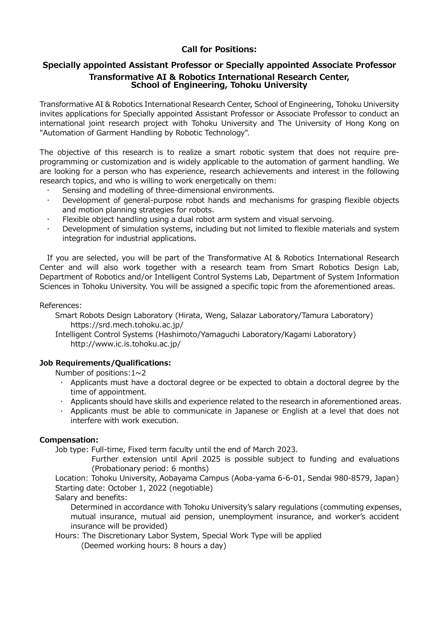# **Call for Positions:**

## **Specially appointed Assistant Professor or Specially appointed Associate Professor Transformative AI & Robotics International Research Center, School of Engineering, Tohoku University**

Transformative AI & Robotics International Research Center, School of Engineering, Tohoku University invites applications for Specially appointed Assistant Professor or Associate Professor to conduct an international joint research project with Tohoku University and The University of Hong Kong on "Automation of Garment Handling by Robotic Technology".

The objective of this research is to realize a smart robotic system that does not require preprogramming or customization and is widely applicable to the automation of garment handling. We are looking for a person who has experience, research achievements and interest in the following research topics, and who is willing to work energetically on them:

- Sensing and modelling of three-dimensional environments.
- Development of general-purpose robot hands and mechanisms for grasping flexible objects and motion planning strategies for robots.
- Flexible object handling using a dual robot arm system and visual servoing.
- Development of simulation systems, including but not limited to flexible materials and system integration for industrial applications.

If you are selected, you will be part of the Transformative AI & Robotics International Research Center and will also work together with a research team from Smart Robotics Design Lab, Department of Robotics and/or Intelligent Control Systems Lab, Department of System Information Sciences in Tohoku University. You will be assigned a specific topic from the aforementioned areas.

### References:

Smart Robots Design Laboratory (Hirata, Weng, Salazar Laboratory/Tamura Laboratory) https://srd.mech.tohoku.ac.jp/

Intelligent Control Systems (Hashimoto/Yamaguchi Laboratory/Kagami Laboratory) http://www.ic.is.tohoku.ac.jp/

### **Job Requirements/Qualifications:**

Number of positions:  $1 \sim 2$ 

- $\cdot$  Applicants must have a doctoral degree or be expected to obtain a doctoral degree by the time of appointment.
- Applicants should have skills and experience related to the research in aforementioned areas.
- Applicants must be able to communicate in Japanese or English at a level that does not interfere with work execution.

### **Compensation:**

Job type: Full-time, Fixed term faculty until the end of March 2023.

Further extension until April 2025 is possible subject to funding and evaluations (Probationary period: 6 months)

Location: Tohoku University, Aobayama Campus (Aoba-yama 6-6-01, Sendai 980-8579, Japan) Starting date: October 1, 2022 (negotiable)

Salary and benefits:

Determined in accordance with Tohoku University's salary regulations (commuting expenses, mutual insurance, mutual aid pension, unemployment insurance, and worker's accident insurance will be provided)

Hours: The Discretionary Labor System, Special Work Type will be applied

(Deemed working hours: 8 hours a day)